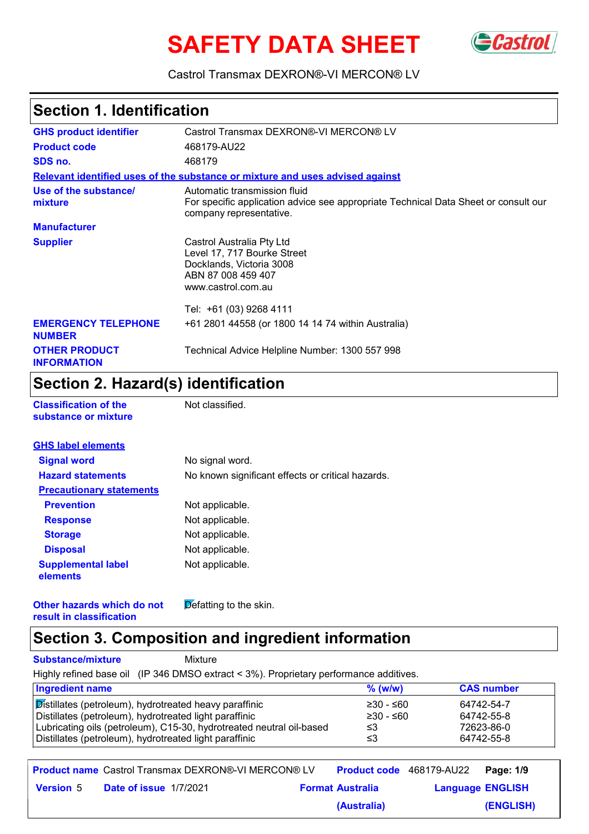# **SAFETY DATA SHEET**



Castrol Transmax DEXRON®-VI MERCON® LV

### **Section 1. Identification**

| Castrol Transmax DEXRON®-VI MERCON® LV<br><b>GHS product identifier</b>                                                                                                            |                                                                                                                                  |  |  |
|------------------------------------------------------------------------------------------------------------------------------------------------------------------------------------|----------------------------------------------------------------------------------------------------------------------------------|--|--|
| <b>Product code</b><br>468179-AU22                                                                                                                                                 |                                                                                                                                  |  |  |
| SDS no.                                                                                                                                                                            | 468179                                                                                                                           |  |  |
|                                                                                                                                                                                    | Relevant identified uses of the substance or mixture and uses advised against                                                    |  |  |
| Use of the substance/<br>Automatic transmission fluid<br>For specific application advice see appropriate Technical Data Sheet or consult our<br>mixture<br>company representative. |                                                                                                                                  |  |  |
| <b>Manufacturer</b>                                                                                                                                                                |                                                                                                                                  |  |  |
| <b>Supplier</b>                                                                                                                                                                    | Castrol Australia Pty Ltd<br>Level 17, 717 Bourke Street<br>Docklands, Victoria 3008<br>ABN 87 008 459 407<br>www.castrol.com.au |  |  |
|                                                                                                                                                                                    | Tel: +61 (03) 9268 4111                                                                                                          |  |  |
| <b>EMERGENCY TELEPHONE</b><br><b>NUMBER</b>                                                                                                                                        | +61 2801 44558 (or 1800 14 14 74 within Australia)                                                                               |  |  |
| <b>OTHER PRODUCT</b><br>Technical Advice Helpline Number: 1300 557 998<br><b>INFORMATION</b>                                                                                       |                                                                                                                                  |  |  |

### **Section 2. Hazard(s) identification**

| <b>Classification of the</b> |  |
|------------------------------|--|
| substance or mixture         |  |

**Not classified.** 

| No signal word.                                   |
|---------------------------------------------------|
| No known significant effects or critical hazards. |
|                                                   |
| Not applicable.                                   |
| Not applicable.                                   |
| Not applicable.                                   |
| Not applicable.                                   |
| Not applicable.                                   |
|                                                   |

**Other hazards which do not result in classification**  $\overline{\mathsf{D}}$  efatting to the skin.

### **Section 3. Composition and ingredient information**

**Substance/mixture** Mixture

Highly refined base oil (IP 346 DMSO extract < 3%). Proprietary performance additives.

| <b>Ingredient name</b>                                               | $%$ (w/w)   | <b>CAS number</b> |
|----------------------------------------------------------------------|-------------|-------------------|
| Distillates (petroleum), hydrotreated heavy paraffinic               | 230 - ≤60   | 64742-54-7        |
| Distillates (petroleum), hydrotreated light paraffinic               | $≥30 - ≤60$ | 64742-55-8        |
| Lubricating oils (petroleum), C15-30, hydrotreated neutral oil-based | ≤3          | 72623-86-0        |
| Distillates (petroleum), hydrotreated light paraffinic               | ≤3          | 64742-55-8        |

**Product name** Castrol Transmax DEXRON®-VI MERCON® LV **Product code** 468179-AU22 **Page: 1/9** | **Date of issue Version** 5 **Format Australia Language** 1/7/2021**Language ENGLISH (ENGLISH)** Product code 468179-AU22 Page **(Australia)**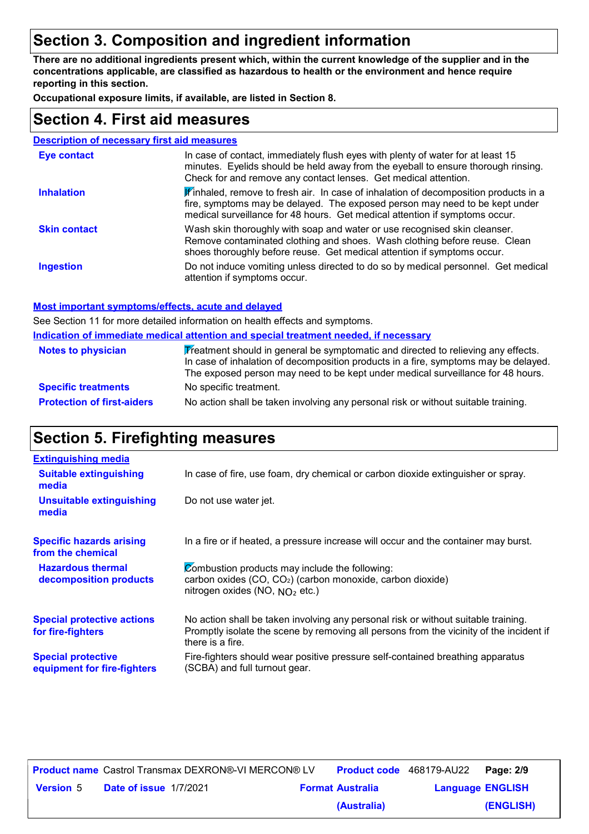### **Section 3. Composition and ingredient information**

**There are no additional ingredients present which, within the current knowledge of the supplier and in the concentrations applicable, are classified as hazardous to health or the environment and hence require reporting in this section.**

**Occupational exposure limits, if available, are listed in Section 8.**

### **Section 4. First aid measures**

#### **Description of necessary first aid measures**

| <b>Eye contact</b>  | In case of contact, immediately flush eyes with plenty of water for at least 15<br>minutes. Eyelids should be held away from the eyeball to ensure thorough rinsing.<br>Check for and remove any contact lenses. Get medical attention.           |  |
|---------------------|---------------------------------------------------------------------------------------------------------------------------------------------------------------------------------------------------------------------------------------------------|--|
| <b>Inhalation</b>   | Winhaled, remove to fresh air. In case of inhalation of decomposition products in a<br>fire, symptoms may be delayed. The exposed person may need to be kept under<br>medical surveillance for 48 hours. Get medical attention if symptoms occur. |  |
| <b>Skin contact</b> | Wash skin thoroughly with soap and water or use recognised skin cleanser.<br>Remove contaminated clothing and shoes. Wash clothing before reuse. Clean<br>shoes thoroughly before reuse. Get medical attention if symptoms occur.                 |  |
| <b>Ingestion</b>    | Do not induce vomiting unless directed to do so by medical personnel. Get medical<br>attention if symptoms occur.                                                                                                                                 |  |

#### **Most important symptoms/effects, acute and delayed**

See Section 11 for more detailed information on health effects and symptoms.

**Indication of immediate medical attention and special treatment needed, if necessary**

| <b>Notes to physician</b>         | Treatment should in general be symptomatic and directed to relieving any effects.<br>In case of inhalation of decomposition products in a fire, symptoms may be delayed.<br>The exposed person may need to be kept under medical surveillance for 48 hours. |  |
|-----------------------------------|-------------------------------------------------------------------------------------------------------------------------------------------------------------------------------------------------------------------------------------------------------------|--|
| <b>Specific treatments</b>        | No specific treatment.                                                                                                                                                                                                                                      |  |
| <b>Protection of first-aiders</b> | No action shall be taken involving any personal risk or without suitable training.                                                                                                                                                                          |  |

### **Section 5. Firefighting measures**

| <b>Extinguishing media</b>                               |                                                                                                                                                                                                   |
|----------------------------------------------------------|---------------------------------------------------------------------------------------------------------------------------------------------------------------------------------------------------|
| <b>Suitable extinguishing</b><br>media                   | In case of fire, use foam, dry chemical or carbon dioxide extinguisher or spray.                                                                                                                  |
| <b>Unsuitable extinguishing</b><br>media                 | Do not use water jet.                                                                                                                                                                             |
| <b>Specific hazards arising</b><br>from the chemical     | In a fire or if heated, a pressure increase will occur and the container may burst.                                                                                                               |
| <b>Hazardous thermal</b><br>decomposition products       | Combustion products may include the following:<br>carbon oxides (CO, CO <sub>2</sub> ) (carbon monoxide, carbon dioxide)<br>nitrogen oxides (NO, $NO2$ etc.)                                      |
| <b>Special protective actions</b><br>for fire-fighters   | No action shall be taken involving any personal risk or without suitable training.<br>Promptly isolate the scene by removing all persons from the vicinity of the incident if<br>there is a fire. |
| <b>Special protective</b><br>equipment for fire-fighters | Fire-fighters should wear positive pressure self-contained breathing apparatus<br>(SCBA) and full turnout gear.                                                                                   |

|                  |                               | <b>Product name</b> Castrol Transmax DEXRON®-VI MERCON® LV |                         | <b>Product code</b> 468179-AU22 | Page: 2/9 |
|------------------|-------------------------------|------------------------------------------------------------|-------------------------|---------------------------------|-----------|
| <b>Version 5</b> | <b>Date of issue 1/7/2021</b> |                                                            | <b>Format Australia</b> | <b>Language ENGLISH</b>         |           |
|                  |                               |                                                            | (Australia)             |                                 | (ENGLISH) |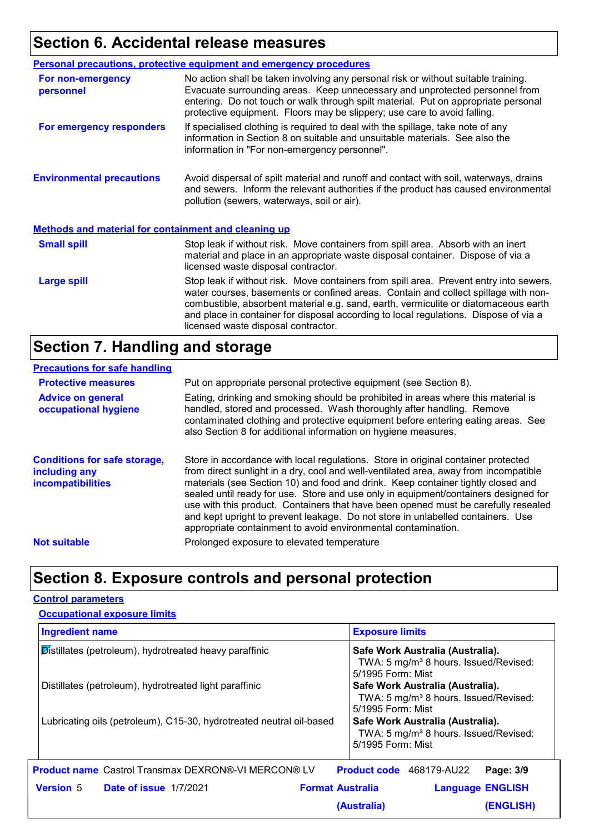### **Section 6. Accidental release measures**

| <b>Personal precautions, protective equipment and emergency procedures</b>                                                                                                                                                                                                                                                                                                                                               |                                                                                                                                                                                                                                                                                                                                     |  |  |  |
|--------------------------------------------------------------------------------------------------------------------------------------------------------------------------------------------------------------------------------------------------------------------------------------------------------------------------------------------------------------------------------------------------------------------------|-------------------------------------------------------------------------------------------------------------------------------------------------------------------------------------------------------------------------------------------------------------------------------------------------------------------------------------|--|--|--|
| For non-emergency<br>personnel                                                                                                                                                                                                                                                                                                                                                                                           | No action shall be taken involving any personal risk or without suitable training.<br>Evacuate surrounding areas. Keep unnecessary and unprotected personnel from<br>entering. Do not touch or walk through spilt material. Put on appropriate personal<br>protective equipment. Floors may be slippery; use care to avoid falling. |  |  |  |
| If specialised clothing is required to deal with the spillage, take note of any<br>For emergency responders<br>information in Section 8 on suitable and unsuitable materials. See also the<br>information in "For non-emergency personnel".                                                                                                                                                                              |                                                                                                                                                                                                                                                                                                                                     |  |  |  |
| <b>Environmental precautions</b>                                                                                                                                                                                                                                                                                                                                                                                         | Avoid dispersal of spilt material and runoff and contact with soil, waterways, drains<br>and sewers. Inform the relevant authorities if the product has caused environmental<br>pollution (sewers, waterways, soil or air).                                                                                                         |  |  |  |
| <b>Methods and material for containment and cleaning up</b>                                                                                                                                                                                                                                                                                                                                                              |                                                                                                                                                                                                                                                                                                                                     |  |  |  |
| <b>Small spill</b>                                                                                                                                                                                                                                                                                                                                                                                                       | Stop leak if without risk. Move containers from spill area. Absorb with an inert<br>material and place in an appropriate waste disposal container. Dispose of via a<br>licensed waste disposal contractor.                                                                                                                          |  |  |  |
| Stop leak if without risk. Move containers from spill area. Prevent entry into sewers,<br><b>Large spill</b><br>water courses, basements or confined areas. Contain and collect spillage with non-<br>combustible, absorbent material e.g. sand, earth, vermiculite or diatomaceous earth<br>and place in container for disposal according to local regulations. Dispose of via a<br>licensed waste disposal contractor. |                                                                                                                                                                                                                                                                                                                                     |  |  |  |

### **Section 7. Handling and storage**

#### **Precautions for safe handling**

| <b>Protective measures</b><br><b>Advice on general</b><br>occupational hygiene   | Put on appropriate personal protective equipment (see Section 8).<br>Eating, drinking and smoking should be prohibited in areas where this material is<br>handled, stored and processed. Wash thoroughly after handling. Remove<br>contaminated clothing and protective equipment before entering eating areas. See<br>also Section 8 for additional information on hygiene measures.                                                                                                                                                                                                          |
|----------------------------------------------------------------------------------|------------------------------------------------------------------------------------------------------------------------------------------------------------------------------------------------------------------------------------------------------------------------------------------------------------------------------------------------------------------------------------------------------------------------------------------------------------------------------------------------------------------------------------------------------------------------------------------------|
| <b>Conditions for safe storage,</b><br>including any<br><i>incompatibilities</i> | Store in accordance with local regulations. Store in original container protected<br>from direct sunlight in a dry, cool and well-ventilated area, away from incompatible<br>materials (see Section 10) and food and drink. Keep container tightly closed and<br>sealed until ready for use. Store and use only in equipment/containers designed for<br>use with this product. Containers that have been opened must be carefully resealed<br>and kept upright to prevent leakage. Do not store in unlabelled containers. Use<br>appropriate containment to avoid environmental contamination. |
| <b>Not suitable</b>                                                              | Prolonged exposure to elevated temperature                                                                                                                                                                                                                                                                                                                                                                                                                                                                                                                                                     |

### **Section 8. Exposure controls and personal protection**

#### **Control parameters**

| <b>Ingredient name</b> |                                                                      | <b>Exposure limits</b>                                                                                     |
|------------------------|----------------------------------------------------------------------|------------------------------------------------------------------------------------------------------------|
|                        | Distillates (petroleum), hydrotreated heavy paraffinic               | Safe Work Australia (Australia).<br>TWA: 5 mg/m <sup>3</sup> 8 hours. Issued/Revised:<br>5/1995 Form: Mist |
|                        | Distillates (petroleum), hydrotreated light paraffinic               | Safe Work Australia (Australia).<br>TWA: 5 mg/m <sup>3</sup> 8 hours. Issued/Revised:<br>5/1995 Form: Mist |
|                        | Lubricating oils (petroleum), C15-30, hydrotreated neutral oil-based | Safe Work Australia (Australia).<br>TWA: 5 mg/m <sup>3</sup> 8 hours. Issued/Revised:<br>5/1995 Form: Mist |
|                        | <b>Product name</b> Castrol Transmax DEXRON®-VI MERCON® LV           | <b>Product code</b> 468179-AU22<br>Page: 3/9                                                               |
|                        | <b>Version 5 Date of issue 1/7/2021</b>                              | <b>Format Australia</b><br><b>Language ENGLISH</b>                                                         |
|                        |                                                                      | (ENGLISH)<br>(Australia)                                                                                   |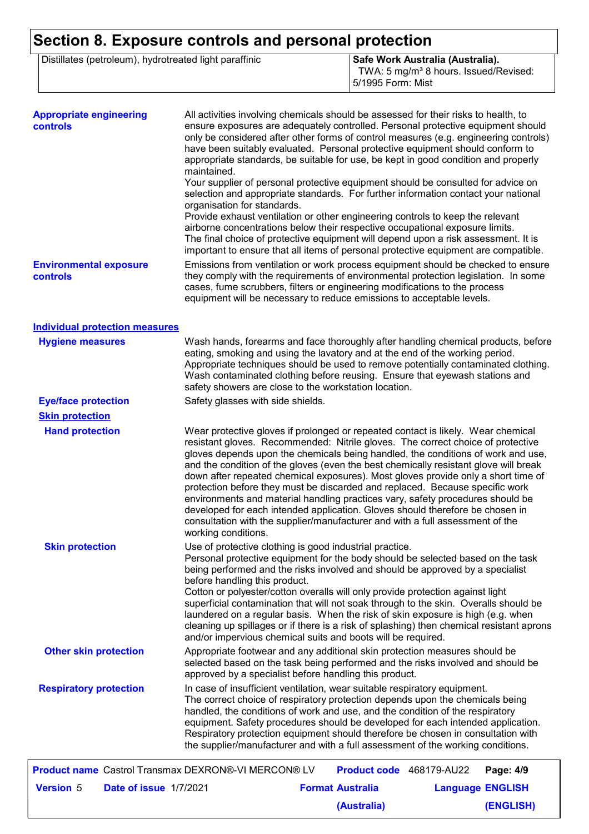## **Section 8. Exposure controls and personal protection**

| Distillates (petroleum), hydrotreated light paraffinic | Safe Work Australia (Australia).                  |
|--------------------------------------------------------|---------------------------------------------------|
|                                                        | TWA: 5 mg/m <sup>3</sup> 8 hours. Issued/Revised: |
|                                                        | 15/1995 Form: Mist                                |

| <b>Appropriate engineering</b><br>controls                 | All activities involving chemicals should be assessed for their risks to health, to<br>ensure exposures are adequately controlled. Personal protective equipment should<br>only be considered after other forms of control measures (e.g. engineering controls)<br>have been suitably evaluated. Personal protective equipment should conform to<br>appropriate standards, be suitable for use, be kept in good condition and properly<br>maintained.<br>Your supplier of personal protective equipment should be consulted for advice on                                                                                                                                                                                                                                                       |  |  |  |  |
|------------------------------------------------------------|-------------------------------------------------------------------------------------------------------------------------------------------------------------------------------------------------------------------------------------------------------------------------------------------------------------------------------------------------------------------------------------------------------------------------------------------------------------------------------------------------------------------------------------------------------------------------------------------------------------------------------------------------------------------------------------------------------------------------------------------------------------------------------------------------|--|--|--|--|
|                                                            | selection and appropriate standards. For further information contact your national<br>organisation for standards.<br>Provide exhaust ventilation or other engineering controls to keep the relevant<br>airborne concentrations below their respective occupational exposure limits.<br>The final choice of protective equipment will depend upon a risk assessment. It is<br>important to ensure that all items of personal protective equipment are compatible.                                                                                                                                                                                                                                                                                                                                |  |  |  |  |
| <b>Environmental exposure</b><br><b>controls</b>           | Emissions from ventilation or work process equipment should be checked to ensure<br>they comply with the requirements of environmental protection legislation. In some<br>cases, fume scrubbers, filters or engineering modifications to the process<br>equipment will be necessary to reduce emissions to acceptable levels.                                                                                                                                                                                                                                                                                                                                                                                                                                                                   |  |  |  |  |
| <b>Individual protection measures</b>                      |                                                                                                                                                                                                                                                                                                                                                                                                                                                                                                                                                                                                                                                                                                                                                                                                 |  |  |  |  |
| <b>Hygiene measures</b>                                    | Wash hands, forearms and face thoroughly after handling chemical products, before<br>eating, smoking and using the lavatory and at the end of the working period.<br>Appropriate techniques should be used to remove potentially contaminated clothing.<br>Wash contaminated clothing before reusing. Ensure that eyewash stations and<br>safety showers are close to the workstation location.                                                                                                                                                                                                                                                                                                                                                                                                 |  |  |  |  |
| <b>Eye/face protection</b>                                 | Safety glasses with side shields.                                                                                                                                                                                                                                                                                                                                                                                                                                                                                                                                                                                                                                                                                                                                                               |  |  |  |  |
| <b>Skin protection</b>                                     |                                                                                                                                                                                                                                                                                                                                                                                                                                                                                                                                                                                                                                                                                                                                                                                                 |  |  |  |  |
| <b>Hand protection</b>                                     | Wear protective gloves if prolonged or repeated contact is likely. Wear chemical<br>resistant gloves. Recommended: Nitrile gloves. The correct choice of protective<br>gloves depends upon the chemicals being handled, the conditions of work and use,<br>and the condition of the gloves (even the best chemically resistant glove will break<br>down after repeated chemical exposures). Most gloves provide only a short time of<br>protection before they must be discarded and replaced. Because specific work<br>environments and material handling practices vary, safety procedures should be<br>developed for each intended application. Gloves should therefore be chosen in<br>consultation with the supplier/manufacturer and with a full assessment of the<br>working conditions. |  |  |  |  |
| <b>Skin protection</b>                                     | Use of protective clothing is good industrial practice.<br>Personal protective equipment for the body should be selected based on the task<br>being performed and the risks involved and should be approved by a specialist<br>before handling this product.<br>Cotton or polyester/cotton overalls will only provide protection against light<br>superficial contamination that will not soak through to the skin. Overalls should be<br>laundered on a regular basis. When the risk of skin exposure is high (e.g. when<br>cleaning up spillages or if there is a risk of splashing) then chemical resistant aprons<br>and/or impervious chemical suits and boots will be required.                                                                                                           |  |  |  |  |
| <b>Other skin protection</b>                               | Appropriate footwear and any additional skin protection measures should be<br>selected based on the task being performed and the risks involved and should be<br>approved by a specialist before handling this product.                                                                                                                                                                                                                                                                                                                                                                                                                                                                                                                                                                         |  |  |  |  |
| <b>Respiratory protection</b>                              | In case of insufficient ventilation, wear suitable respiratory equipment.<br>The correct choice of respiratory protection depends upon the chemicals being<br>handled, the conditions of work and use, and the condition of the respiratory<br>equipment. Safety procedures should be developed for each intended application.<br>Respiratory protection equipment should therefore be chosen in consultation with<br>the supplier/manufacturer and with a full assessment of the working conditions.                                                                                                                                                                                                                                                                                           |  |  |  |  |
| <b>Product name</b> Castrol Transmax DEXRON®-VI MERCON® LV | Product code 468179-AU22<br>Page: 4/9                                                                                                                                                                                                                                                                                                                                                                                                                                                                                                                                                                                                                                                                                                                                                           |  |  |  |  |
| <b>Version 5</b><br>Date of issue 1/7/2021                 | <b>Format Australia</b><br><b>Language ENGLISH</b>                                                                                                                                                                                                                                                                                                                                                                                                                                                                                                                                                                                                                                                                                                                                              |  |  |  |  |

**(Australia)**

**(ENGLISH)**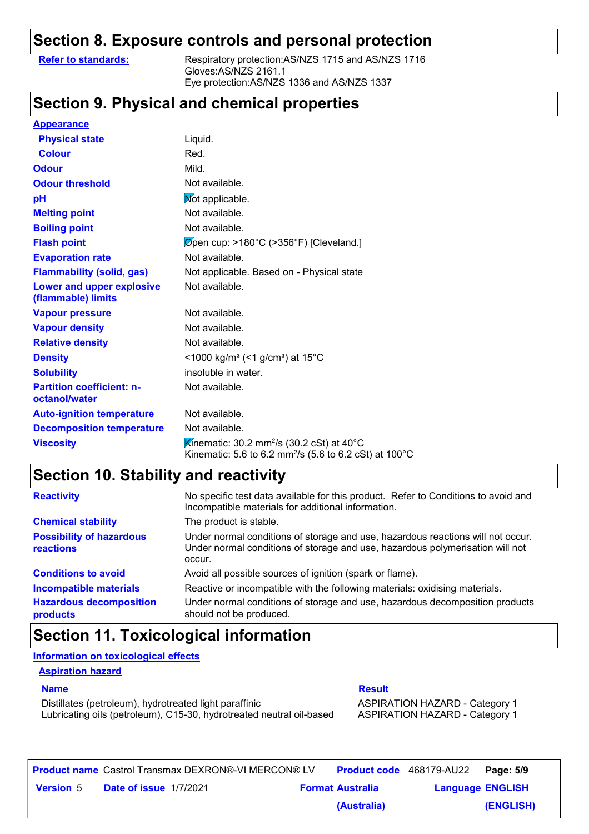### **Section 8. Exposure controls and personal protection**

**Refer to standards:** Respiratory protection:AS/NZS 1715 and AS/NZS 1716 Gloves:AS/NZS 2161.1 Eye protection:AS/NZS 1336 and AS/NZS 1337

### **Section 9. Physical and chemical properties**

| <b>Appearance</b>                                 |                                                                                                                                        |
|---------------------------------------------------|----------------------------------------------------------------------------------------------------------------------------------------|
| <b>Physical state</b>                             | Liquid.                                                                                                                                |
| <b>Colour</b>                                     | Red.                                                                                                                                   |
| <b>Odour</b>                                      | Mild.                                                                                                                                  |
| <b>Odour threshold</b>                            | Not available.                                                                                                                         |
| pH                                                | Mot applicable.                                                                                                                        |
| <b>Melting point</b>                              | Not available.                                                                                                                         |
| <b>Boiling point</b>                              | Not available.                                                                                                                         |
| <b>Flash point</b>                                | $\varnothing$ pen cup: >180°C (>356°F) [Cleveland.]                                                                                    |
| <b>Evaporation rate</b>                           | Not available.                                                                                                                         |
| <b>Flammability (solid, gas)</b>                  | Not applicable. Based on - Physical state                                                                                              |
| Lower and upper explosive<br>(flammable) limits   | Not available.                                                                                                                         |
| <b>Vapour pressure</b>                            | Not available.                                                                                                                         |
| <b>Vapour density</b>                             | Not available.                                                                                                                         |
| <b>Relative density</b>                           | Not available.                                                                                                                         |
| <b>Density</b>                                    | <1000 kg/m <sup>3</sup> (<1 g/cm <sup>3</sup> ) at 15°C                                                                                |
| <b>Solubility</b>                                 | insoluble in water.                                                                                                                    |
| <b>Partition coefficient: n-</b><br>octanol/water | Not available.                                                                                                                         |
| <b>Auto-ignition temperature</b>                  | Not available.                                                                                                                         |
| <b>Decomposition temperature</b>                  | Not available.                                                                                                                         |
| <b>Viscosity</b>                                  | Kinematic: 30.2 mm <sup>2</sup> /s (30.2 cSt) at 40°C<br>Kinematic: 5.6 to 6.2 mm <sup>2</sup> /s (5.6 to 6.2 cSt) at 100 $^{\circ}$ C |

### **Section 10. Stability and reactivity**

| <b>Reactivity</b>                            | No specific test data available for this product. Refer to Conditions to avoid and<br>Incompatible materials for additional information.                                   |
|----------------------------------------------|----------------------------------------------------------------------------------------------------------------------------------------------------------------------------|
| <b>Chemical stability</b>                    | The product is stable.                                                                                                                                                     |
| <b>Possibility of hazardous</b><br>reactions | Under normal conditions of storage and use, hazardous reactions will not occur.<br>Under normal conditions of storage and use, hazardous polymerisation will not<br>occur. |
| <b>Conditions to avoid</b>                   | Avoid all possible sources of ignition (spark or flame).                                                                                                                   |
| <b>Incompatible materials</b>                | Reactive or incompatible with the following materials: oxidising materials.                                                                                                |
| <b>Hazardous decomposition</b><br>products   | Under normal conditions of storage and use, hazardous decomposition products<br>should not be produced.                                                                    |

### **Section 11. Toxicological information**

### **Information on toxicological effects**

#### **Aspiration hazard**

Distillates (petroleum), hydrotreated light paraffinic **ASPIRATION HAZARD** - Category 1 Lubricating oils (petroleum), C15-30, hydrotreated neutral oil-based ASPIRATION HAZARD - Category 1

#### **Name Result**

|                  |                               | <b>Product name</b> Castrol Transmax DEXRON®-VI MERCON® LV |                         | <b>Product code</b> 468179-AU22 | Page: 5/9 |
|------------------|-------------------------------|------------------------------------------------------------|-------------------------|---------------------------------|-----------|
| <b>Version 5</b> | <b>Date of issue 1/7/2021</b> |                                                            | <b>Format Australia</b> | <b>Language ENGLISH</b>         |           |
|                  |                               |                                                            | (Australia)             |                                 | (ENGLISH) |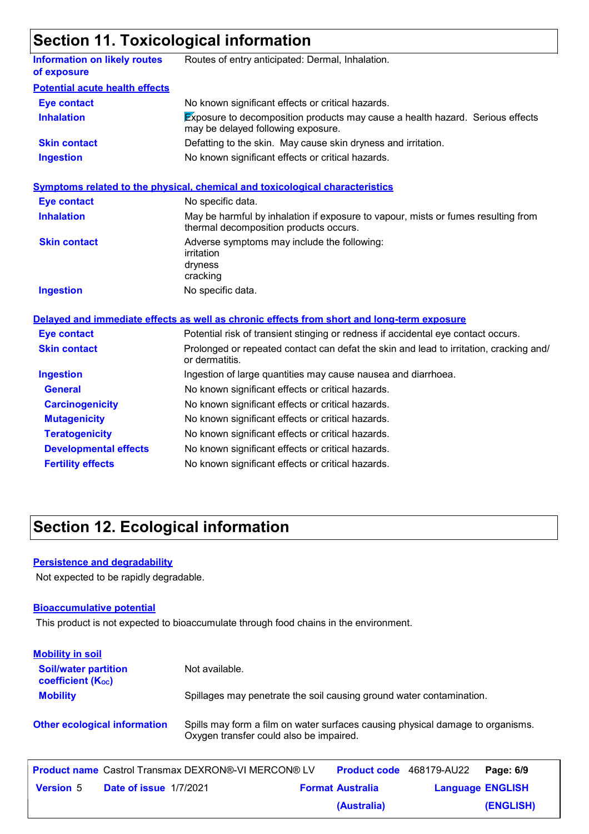### **Section 11. Toxicological information**

|                                                    | 9.00.                                                                                                                       |
|----------------------------------------------------|-----------------------------------------------------------------------------------------------------------------------------|
| <b>Information on likely routes</b><br>of exposure | Routes of entry anticipated: Dermal, Inhalation.                                                                            |
| <b>Potential acute health effects</b>              |                                                                                                                             |
| <b>Eye contact</b>                                 | No known significant effects or critical hazards.                                                                           |
| <b>Inhalation</b>                                  | <b>Exposure to decomposition products may cause a health hazard. Serious effects</b><br>may be delayed following exposure.  |
| <b>Skin contact</b>                                | Defatting to the skin. May cause skin dryness and irritation.                                                               |
| <b>Ingestion</b>                                   | No known significant effects or critical hazards.                                                                           |
|                                                    | <b>Symptoms related to the physical, chemical and toxicological characteristics</b>                                         |
| <b>Eye contact</b>                                 | No specific data.                                                                                                           |
| <b>Inhalation</b>                                  | May be harmful by inhalation if exposure to vapour, mists or fumes resulting from<br>thermal decomposition products occurs. |
| <b>Skin contact</b>                                | Adverse symptoms may include the following:<br>irritation<br>dryness<br>cracking                                            |
| <b>Ingestion</b>                                   | No specific data.                                                                                                           |
|                                                    | Delayed and immediate effects as well as chronic effects from short and long-term exposure                                  |
| <b>Eye contact</b>                                 | Potential risk of transient stinging or redness if accidental eye contact occurs.                                           |
| <b>Skin contact</b>                                | Prolonged or repeated contact can defat the skin and lead to irritation, cracking and/<br>or dermatitis.                    |
| <b>Ingestion</b>                                   | Ingestion of large quantities may cause nausea and diarrhoea.                                                               |
| <b>General</b>                                     | No known significant effects or critical hazards.                                                                           |
| <b>Carcinogenicity</b>                             | No known significant effects or critical hazards.                                                                           |
| <b>Mutagenicity</b>                                | No known significant effects or critical hazards.                                                                           |
| <b>Teratogenicity</b>                              | No known significant effects or critical hazards.                                                                           |
| <b>Developmental effects</b>                       | No known significant effects or critical hazards.                                                                           |
| <b>Fertility effects</b>                           | No known significant effects or critical hazards.                                                                           |
|                                                    |                                                                                                                             |

### **Section 12. Ecological information**

#### **Persistence and degradability**

Not expected to be rapidly degradable.

#### **Bioaccumulative potential**

This product is not expected to bioaccumulate through food chains in the environment.

| <b>Mobility in soil</b>                                 |                                                                                                                           |
|---------------------------------------------------------|---------------------------------------------------------------------------------------------------------------------------|
| <b>Soil/water partition</b><br><b>coefficient (Koc)</b> | Not available.                                                                                                            |
| <b>Mobility</b>                                         | Spillages may penetrate the soil causing ground water contamination.                                                      |
| <b>Other ecological information</b>                     | Spills may form a film on water surfaces causing physical damage to organisms.<br>Oxygen transfer could also be impaired. |

|                  |                               | <b>Product name</b> Castrol Transmax DEXRON®-VI MERCON® LV |                         | Product code 468179-AU22 | Page: 6/9 |
|------------------|-------------------------------|------------------------------------------------------------|-------------------------|--------------------------|-----------|
| <b>Version</b> 5 | <b>Date of issue 1/7/2021</b> |                                                            | <b>Format Australia</b> | <b>Language ENGLISH</b>  |           |
|                  |                               |                                                            | (Australia)             |                          | (ENGLISH) |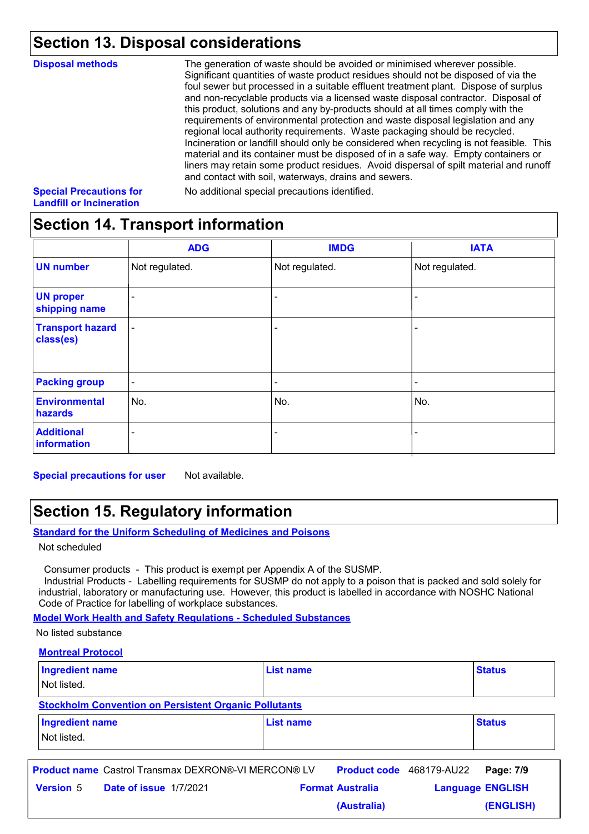### **Section 13. Disposal considerations**

| <b>Disposal methods</b>        | The generation of waste should be avoided or minimised wherever possible.<br>Significant quantities of waste product residues should not be disposed of via the<br>foul sewer but processed in a suitable effluent treatment plant. Dispose of surplus<br>and non-recyclable products via a licensed waste disposal contractor. Disposal of<br>this product, solutions and any by-products should at all times comply with the<br>requirements of environmental protection and waste disposal legislation and any |
|--------------------------------|-------------------------------------------------------------------------------------------------------------------------------------------------------------------------------------------------------------------------------------------------------------------------------------------------------------------------------------------------------------------------------------------------------------------------------------------------------------------------------------------------------------------|
|                                | regional local authority requirements. Waste packaging should be recycled.<br>Incineration or landfill should only be considered when recycling is not feasible. This<br>material and its container must be disposed of in a safe way. Empty containers or<br>liners may retain some product residues. Avoid dispersal of spilt material and runoff<br>and contact with soil, waterways, drains and sewers.                                                                                                       |
| <b>Special Precautions for</b> | No additional special precautions identified.                                                                                                                                                                                                                                                                                                                                                                                                                                                                     |

#### **Special Precautions for Landfill or Incineration**

No additional special precautions identified.

### **Section 14. Transport information**

|                                      | <b>ADG</b>                   | <b>IMDG</b>              | <b>IATA</b>              |
|--------------------------------------|------------------------------|--------------------------|--------------------------|
| <b>UN number</b>                     | Not regulated.               | Not regulated.           | Not regulated.           |
| <b>UN proper</b><br>shipping name    | $\qquad \qquad \blacksquare$ |                          |                          |
| <b>Transport hazard</b><br>class(es) | $\overline{\phantom{a}}$     | $\overline{\phantom{a}}$ | $\overline{\phantom{a}}$ |
| <b>Packing group</b>                 | $\overline{\phantom{a}}$     | $\overline{\phantom{a}}$ | $\overline{\phantom{a}}$ |
| <b>Environmental</b><br>hazards      | No.                          | No.                      | No.                      |
| <b>Additional</b><br>information     | -                            | $\overline{\phantom{0}}$ |                          |

**Special precautions for user** Not available.

### **Section 15. Regulatory information**

#### **Standard for the Uniform Scheduling of Medicines and Poisons**

Not scheduled

Consumer products - This product is exempt per Appendix A of the SUSMP.

 Industrial Products - Labelling requirements for SUSMP do not apply to a poison that is packed and sold solely for industrial, laboratory or manufacturing use. However, this product is labelled in accordance with NOSHC National Code of Practice for labelling of workplace substances.

**Model Work Health and Safety Regulations - Scheduled Substances**

No listed substance

#### **Montreal Protocol**

| <b>Ingredient name</b><br>Not listed.                        | <b>List name</b> | <b>Status</b> |  |  |  |
|--------------------------------------------------------------|------------------|---------------|--|--|--|
| <b>Stockholm Convention on Persistent Organic Pollutants</b> |                  |               |  |  |  |
| Ingredient name<br>Not listed.                               | <b>List name</b> | <b>Status</b> |  |  |  |

|                  |                               | <b>Product name</b> Castrol Transmax DEXRON®-VI MERCON® LV | <b>Product code</b> 468179-AU22 |                         | Page: 7/9 |
|------------------|-------------------------------|------------------------------------------------------------|---------------------------------|-------------------------|-----------|
| <b>Version 5</b> | <b>Date of issue 1/7/2021</b> |                                                            | <b>Format Australia</b>         | <b>Language ENGLISH</b> |           |
|                  |                               |                                                            | (Australia)                     |                         | (ENGLISH) |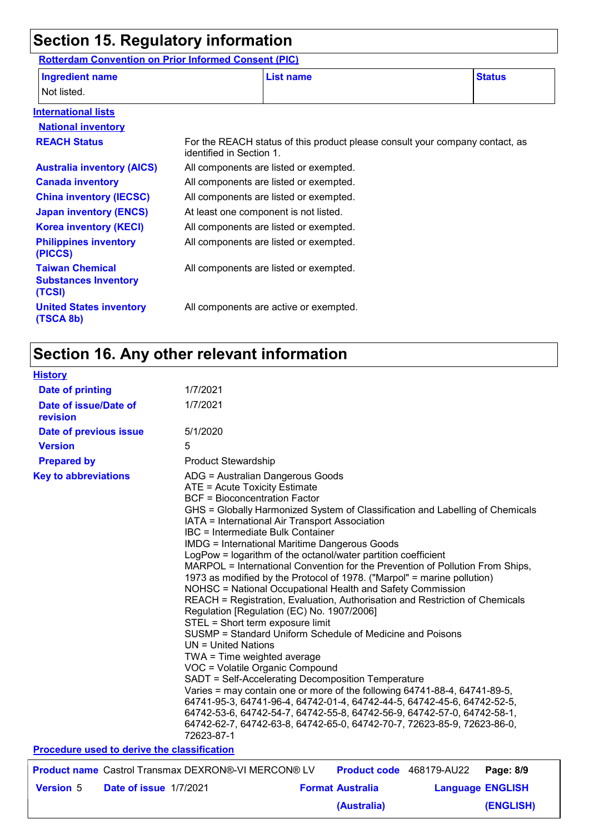### **Section 15. Regulatory information**

**Rotterdam Convention on Prior Informed Consent (PIC)**

| <b>Ingredient name</b>                                          |                          | <b>List name</b>                                                             | <b>Status</b> |
|-----------------------------------------------------------------|--------------------------|------------------------------------------------------------------------------|---------------|
| Not listed.                                                     |                          |                                                                              |               |
| <b>International lists</b>                                      |                          |                                                                              |               |
| <b>National inventory</b>                                       |                          |                                                                              |               |
| <b>REACH Status</b>                                             | identified in Section 1. | For the REACH status of this product please consult your company contact, as |               |
| <b>Australia inventory (AICS)</b>                               |                          | All components are listed or exempted.                                       |               |
| <b>Canada inventory</b>                                         |                          | All components are listed or exempted.                                       |               |
| <b>China inventory (IECSC)</b>                                  |                          | All components are listed or exempted.                                       |               |
| <b>Japan inventory (ENCS)</b>                                   |                          | At least one component is not listed.                                        |               |
| <b>Korea inventory (KECI)</b>                                   |                          | All components are listed or exempted.                                       |               |
| <b>Philippines inventory</b><br>(PICCS)                         |                          | All components are listed or exempted.                                       |               |
| <b>Taiwan Chemical</b><br><b>Substances Inventory</b><br>(TCSI) |                          | All components are listed or exempted.                                       |               |
| <b>United States inventory</b><br>(TSCA 8b)                     |                          | All components are active or exempted.                                       |               |

## **Section 16. Any other relevant information**

| <b>History</b>                              |                        |                                                                                                                                                                                                                                                                                                                                                                                                                                                                                                                                                                                                                                                                                                                                                                                                                                                                                                                                                                                                                                                                                                                                                                                                                                                                                                                                                         |  |                                 |  |                         |
|---------------------------------------------|------------------------|---------------------------------------------------------------------------------------------------------------------------------------------------------------------------------------------------------------------------------------------------------------------------------------------------------------------------------------------------------------------------------------------------------------------------------------------------------------------------------------------------------------------------------------------------------------------------------------------------------------------------------------------------------------------------------------------------------------------------------------------------------------------------------------------------------------------------------------------------------------------------------------------------------------------------------------------------------------------------------------------------------------------------------------------------------------------------------------------------------------------------------------------------------------------------------------------------------------------------------------------------------------------------------------------------------------------------------------------------------|--|---------------------------------|--|-------------------------|
| <b>Date of printing</b>                     |                        | 1/7/2021                                                                                                                                                                                                                                                                                                                                                                                                                                                                                                                                                                                                                                                                                                                                                                                                                                                                                                                                                                                                                                                                                                                                                                                                                                                                                                                                                |  |                                 |  |                         |
| Date of issue/Date of<br>revision           |                        | 1/7/2021                                                                                                                                                                                                                                                                                                                                                                                                                                                                                                                                                                                                                                                                                                                                                                                                                                                                                                                                                                                                                                                                                                                                                                                                                                                                                                                                                |  |                                 |  |                         |
| Date of previous issue                      |                        | 5/1/2020                                                                                                                                                                                                                                                                                                                                                                                                                                                                                                                                                                                                                                                                                                                                                                                                                                                                                                                                                                                                                                                                                                                                                                                                                                                                                                                                                |  |                                 |  |                         |
| <b>Version</b>                              |                        | 5                                                                                                                                                                                                                                                                                                                                                                                                                                                                                                                                                                                                                                                                                                                                                                                                                                                                                                                                                                                                                                                                                                                                                                                                                                                                                                                                                       |  |                                 |  |                         |
| <b>Prepared by</b>                          |                        | <b>Product Stewardship</b>                                                                                                                                                                                                                                                                                                                                                                                                                                                                                                                                                                                                                                                                                                                                                                                                                                                                                                                                                                                                                                                                                                                                                                                                                                                                                                                              |  |                                 |  |                         |
| <b>Key to abbreviations</b>                 |                        | ADG = Australian Dangerous Goods<br>ATE = Acute Toxicity Estimate<br><b>BCF = Bioconcentration Factor</b><br>GHS = Globally Harmonized System of Classification and Labelling of Chemicals<br>IATA = International Air Transport Association<br><b>IBC</b> = Intermediate Bulk Container<br><b>IMDG = International Maritime Dangerous Goods</b><br>LogPow = logarithm of the octanol/water partition coefficient<br>MARPOL = International Convention for the Prevention of Pollution From Ships,<br>1973 as modified by the Protocol of 1978. ("Marpol" = marine pollution)<br>NOHSC = National Occupational Health and Safety Commission<br>REACH = Registration, Evaluation, Authorisation and Restriction of Chemicals<br>Regulation [Regulation (EC) No. 1907/2006]<br>STEL = Short term exposure limit<br>SUSMP = Standard Uniform Schedule of Medicine and Poisons<br>$UN = United Nations$<br>TWA = Time weighted average<br>VOC = Volatile Organic Compound<br>SADT = Self-Accelerating Decomposition Temperature<br>Varies = may contain one or more of the following 64741-88-4, 64741-89-5,<br>64741-95-3, 64741-96-4, 64742-01-4, 64742-44-5, 64742-45-6, 64742-52-5,<br>64742-53-6, 64742-54-7, 64742-55-8, 64742-56-9, 64742-57-0, 64742-58-1,<br>64742-62-7, 64742-63-8, 64742-65-0, 64742-70-7, 72623-85-9, 72623-86-0,<br>72623-87-1 |  |                                 |  |                         |
| Procedure used to derive the classification |                        |                                                                                                                                                                                                                                                                                                                                                                                                                                                                                                                                                                                                                                                                                                                                                                                                                                                                                                                                                                                                                                                                                                                                                                                                                                                                                                                                                         |  |                                 |  |                         |
|                                             |                        | <b>Product name</b> Castrol Transmax DEXRON®-VI MERCON® LV                                                                                                                                                                                                                                                                                                                                                                                                                                                                                                                                                                                                                                                                                                                                                                                                                                                                                                                                                                                                                                                                                                                                                                                                                                                                                              |  | <b>Product code</b> 468179-AU22 |  | Page: 8/9               |
| <b>Version 5</b>                            | Date of issue 1/7/2021 |                                                                                                                                                                                                                                                                                                                                                                                                                                                                                                                                                                                                                                                                                                                                                                                                                                                                                                                                                                                                                                                                                                                                                                                                                                                                                                                                                         |  | <b>Format Australia</b>         |  | <b>Language ENGLISH</b> |
|                                             |                        |                                                                                                                                                                                                                                                                                                                                                                                                                                                                                                                                                                                                                                                                                                                                                                                                                                                                                                                                                                                                                                                                                                                                                                                                                                                                                                                                                         |  | (Australia)                     |  | (ENGLISH)               |